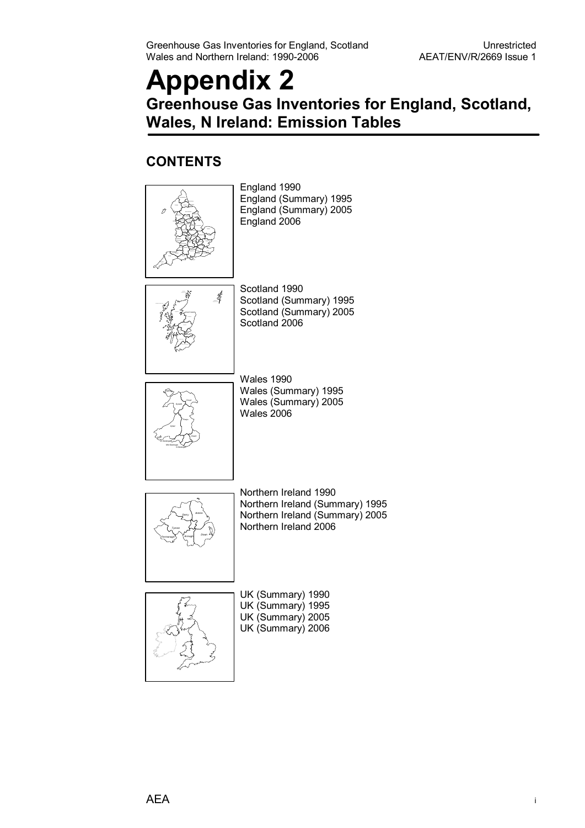# **Appendix 2 Greenhouse Gas Inventories for England, Scotland, Wales, N Ireland: Emission Tables**

### **CONTENTS**

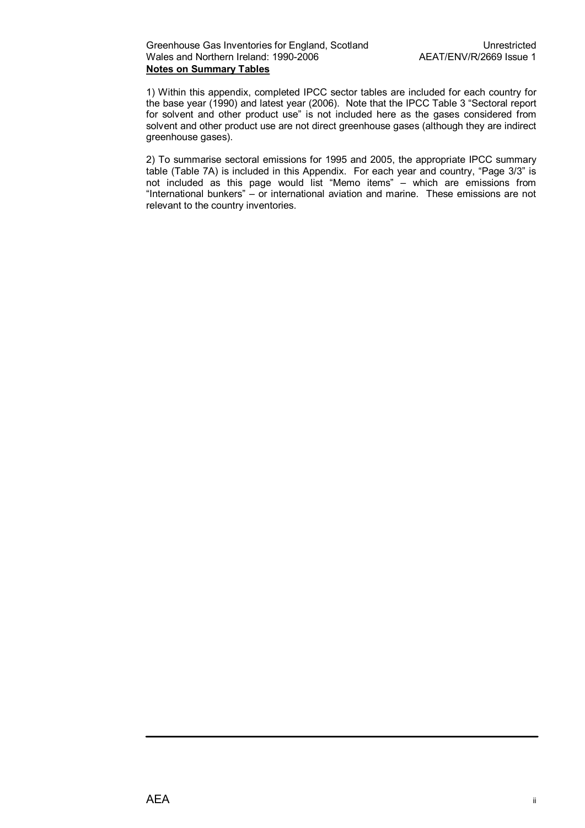1) Within this appendix, completed IPCC sector tables are included for each country for the base year (1990) and latest year (2006). Note that the IPCC Table 3 "Sectoral report for solvent and other product use" is not included here as the gases considered from solvent and other product use are not direct greenhouse gases (although they are indirect greenhouse gases).

2) To summarise sectoral emissions for 1995 and 2005, the appropriate IPCC summary table (Table 7A) is included in this Appendix. For each year and country, "Page 3/3" is not included as this page would list "Memo items" – which are emissions from "International bunkers" – or international aviation and marine. These emissions are not relevant to the country inventories.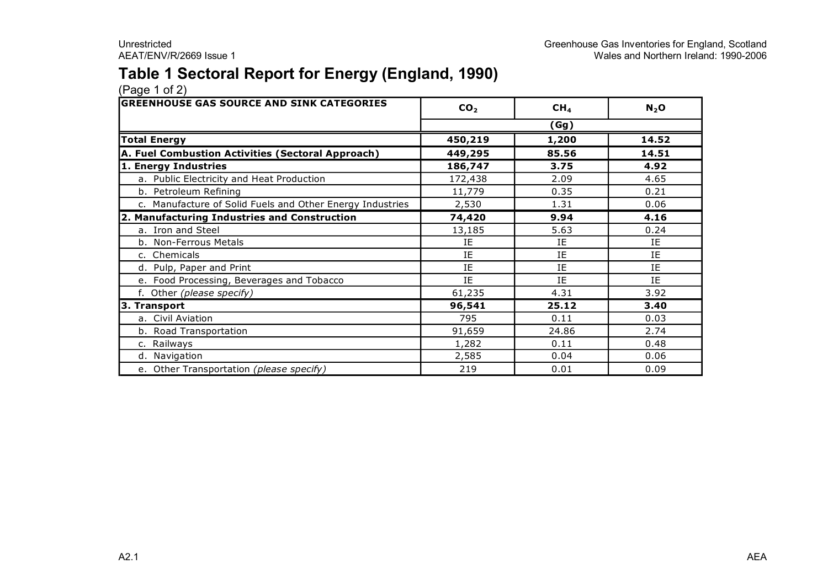### **Table 1 Sectoral Report for Energy (England, 1990)**

| <b>GREENHOUSE GAS SOURCE AND SINK CATEGORIES</b>          | CO <sub>2</sub> | CH <sub>4</sub> | $N_2$ O |
|-----------------------------------------------------------|-----------------|-----------------|---------|
|                                                           |                 | (Gg)            |         |
| <b>Total Energy</b>                                       | 450,219         | 1,200           | 14.52   |
| A. Fuel Combustion Activities (Sectoral Approach)         | 449,295         | 85.56           | 14.51   |
| 1. Energy Industries                                      | 186,747         | 3.75            | 4.92    |
| a. Public Electricity and Heat Production                 | 172,438         | 2.09            | 4.65    |
| b. Petroleum Refining                                     | 11,779          | 0.35            | 0.21    |
| c. Manufacture of Solid Fuels and Other Energy Industries | 2,530           | 1.31            | 0.06    |
| 2. Manufacturing Industries and Construction              | 74,420          | 9.94            | 4.16    |
| a. Iron and Steel                                         | 13,185          | 5.63            | 0.24    |
| b. Non-Ferrous Metals                                     | ΙE              | ΙE              | ΙE      |
| c. Chemicals                                              | IE              | IE              | IE      |
| d. Pulp, Paper and Print                                  | IE              | IE              | IE      |
| e. Food Processing, Beverages and Tobacco                 | ΙE              | IE              | ΙE      |
| f. Other (please specify)                                 | 61,235          | 4.31            | 3.92    |
| 3. Transport                                              | 96,541          | 25.12           | 3.40    |
| a. Civil Aviation                                         | 795             | 0.11            | 0.03    |
| b. Road Transportation                                    | 91,659          | 24.86           | 2.74    |
| c. Railways                                               | 1,282           | 0.11            | 0.48    |
| d. Navigation                                             | 2,585           | 0.04            | 0.06    |
| e. Other Transportation (please specify)                  | 219             | 0.01            | 0.09    |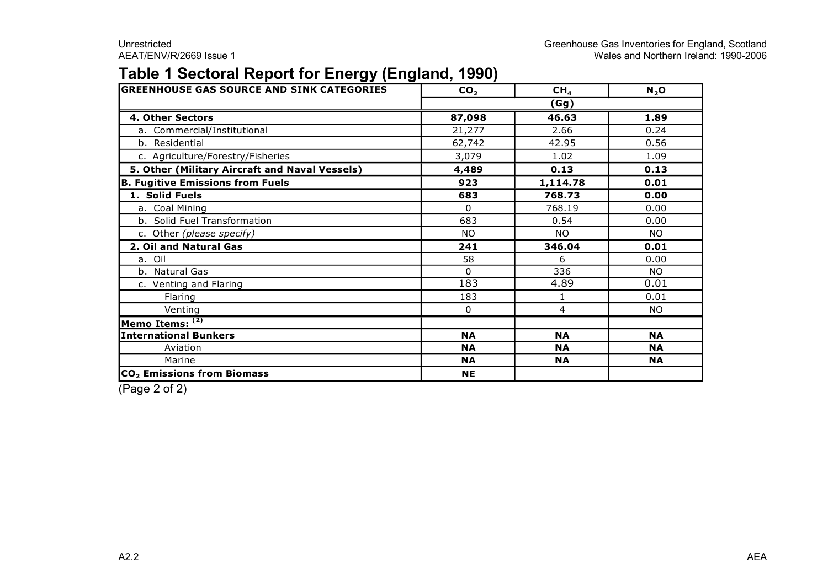### **Table 1 Sectoral Report for Energy (England, 1990)**

| <b>GREENHOUSE GAS SOURCE AND SINK CATEGORIES</b> | CO <sub>2</sub> | CH <sub>4</sub> | $N_2$ O   |  |  |
|--------------------------------------------------|-----------------|-----------------|-----------|--|--|
|                                                  | (Gg)            |                 |           |  |  |
| 4. Other Sectors                                 | 87,098          | 46.63           | 1.89      |  |  |
| a. Commercial/Institutional                      | 21,277          | 2.66            | 0.24      |  |  |
| b. Residential                                   | 62,742          | 42.95           | 0.56      |  |  |
| c. Agriculture/Forestry/Fisheries                | 3,079           | 1.02            | 1.09      |  |  |
| 5. Other (Military Aircraft and Naval Vessels)   | 4,489           | 0.13            | 0.13      |  |  |
| <b>B. Fugitive Emissions from Fuels</b>          | 923             | 1,114.78        | 0.01      |  |  |
| 1. Solid Fuels                                   | 683             | 768.73          | 0.00      |  |  |
| a. Coal Mining                                   | $\Omega$        | 768.19          | 0.00      |  |  |
| b. Solid Fuel Transformation                     | 683             | 0.54            | 0.00      |  |  |
| c. Other (please specify)                        | NO.             | <b>NO</b>       | NO.       |  |  |
| 2. Oil and Natural Gas                           | 241             | 346.04          | 0.01      |  |  |
| a. Oil                                           | 58              | 6               | 0.00      |  |  |
| b. Natural Gas                                   | $\Omega$        | 336             | <b>NO</b> |  |  |
| c. Venting and Flaring                           | 183             | 4.89            | 0.01      |  |  |
| Flaring                                          | 183             |                 | 0.01      |  |  |
| Venting                                          | $\mathbf{0}$    | 4               | NO.       |  |  |
| Memo Items: $\overline{^{(2)}}$                  |                 |                 |           |  |  |
| <b>International Bunkers</b>                     | <b>NA</b>       | <b>NA</b>       | <b>NA</b> |  |  |
| Aviation                                         | <b>NA</b>       | <b>NA</b>       | <b>NA</b> |  |  |
| Marine                                           | <b>NA</b>       | <b>NA</b>       | <b>NA</b> |  |  |
| CO <sub>2</sub> Emissions from Biomass           | <b>NE</b>       |                 |           |  |  |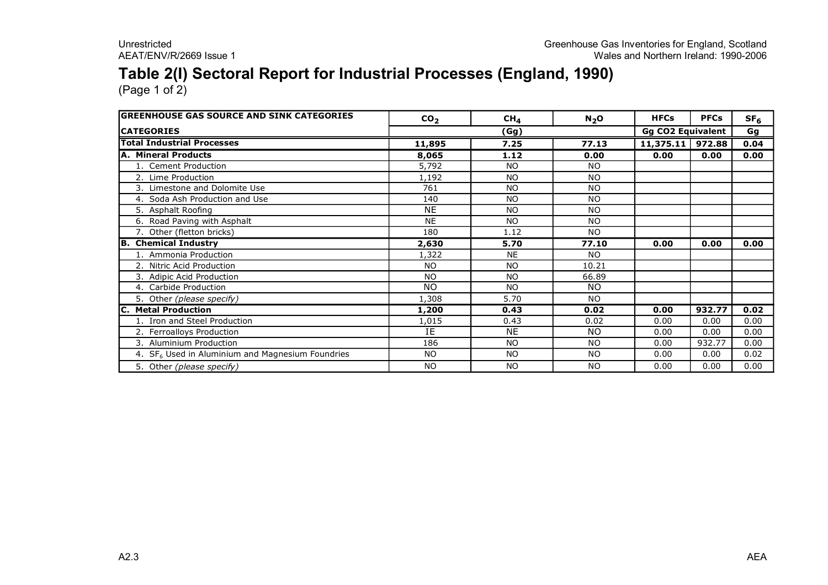# **Table 2(I) Sectoral Report for Industrial Processes (England, 1990)**

| <b>GREENHOUSE GAS SOURCE AND SINK CATEGORIES</b>   | CO <sub>2</sub> | CH <sub>4</sub> | $N_2$ O        | <b>HFCs</b>              | <b>PFCs</b> | SF <sub>6</sub> |
|----------------------------------------------------|-----------------|-----------------|----------------|--------------------------|-------------|-----------------|
| <b>ICATEGORIES</b>                                 |                 | (Gg)            |                | <b>Gg CO2 Equivalent</b> |             | Gg              |
| <b>Total Industrial Processes</b>                  | 11,895          | 7.25            | 77.13          | $11,375.11$ 972.88       |             | 0.04            |
| <b>A. Mineral Products</b>                         | 8,065           | 1.12            | 0.00           | 0.00                     | 0.00        | 0.00            |
| 1. Cement Production                               | 5,792           | NO.             | NO.            |                          |             |                 |
| 2. Lime Production                                 | 1,192           | <b>NO</b>       | <b>NO</b>      |                          |             |                 |
| 3. Limestone and Dolomite Use                      | 761             | <b>NO</b>       | N <sub>O</sub> |                          |             |                 |
| 4. Soda Ash Production and Use                     | 140             | <b>NO</b>       | <b>NO</b>      |                          |             |                 |
| 5. Asphalt Roofing                                 | <b>NE</b>       | <b>NO</b>       | <b>NO</b>      |                          |             |                 |
| 6. Road Paving with Asphalt                        | <b>NE</b>       | <b>NO</b>       | <b>NO</b>      |                          |             |                 |
| 7. Other (fletton bricks)                          | 180             | 1.12            | NO.            |                          |             |                 |
| <b>B.</b> Chemical Industry                        | 2,630           | 5.70            | 77.10          | 0.00                     | 0.00        | 0.00            |
| 1. Ammonia Production                              | 1,322           | <b>NE</b>       | NO.            |                          |             |                 |
| 2. Nitric Acid Production                          | <b>NO</b>       | <b>NO</b>       | 10.21          |                          |             |                 |
| 3. Adipic Acid Production                          | <b>NO</b>       | <b>NO</b>       | 66.89          |                          |             |                 |
| 4. Carbide Production                              | <b>NO</b>       | <b>NO</b>       | NO.            |                          |             |                 |
| 5. Other (please specify)                          | 1,308           | 5.70            | <b>NO</b>      |                          |             |                 |
| C. Metal Production                                | 1,200           | 0.43            | 0.02           | 0.00                     | 932.77      | 0.02            |
| 1. Iron and Steel Production                       | 1,015           | 0.43            | 0.02           | 0.00                     | 0.00        | 0.00            |
| 2. Ferroalloys Production                          | ΙE              | <b>NE</b>       | NO.            | 0.00                     | 0.00        | 0.00            |
| <b>Aluminium Production</b><br>З.                  | 186             | <b>NO</b>       | N <sub>O</sub> | 0.00                     | 932.77      | 0.00            |
| 4. $SF6$ Used in Aluminium and Magnesium Foundries | <b>NO</b>       | <b>NO</b>       | NO.            | 0.00                     | 0.00        | 0.02            |
| 5. Other (please specify)                          | <b>NO</b>       | <b>NO</b>       | <b>NO</b>      | 0.00                     | 0.00        | 0.00            |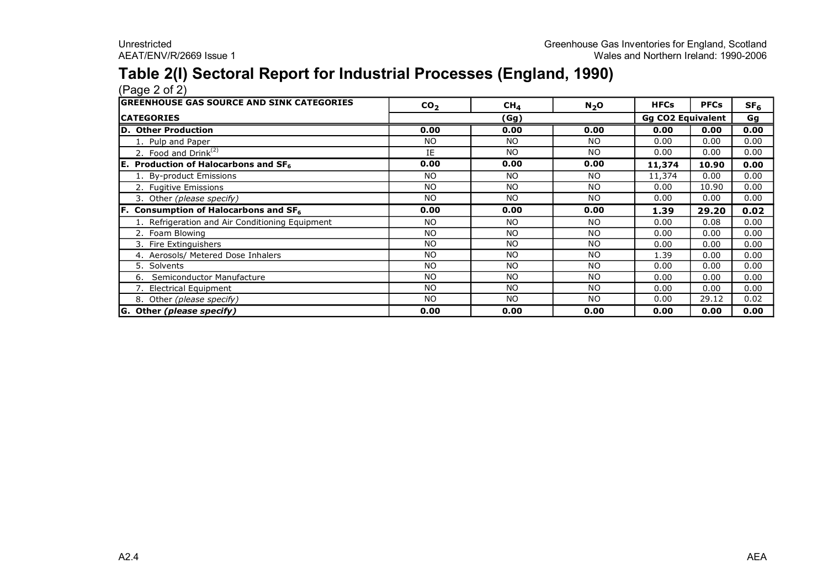# **Table 2(I) Sectoral Report for Industrial Processes (England, 1990)**

| <b>GREENHOUSE GAS SOURCE AND SINK CATEGORIES</b> | CO <sub>2</sub> | CH <sub>4</sub> | $N_2$ O   | <b>HFCs</b>              | <b>PFCs</b> | SF <sub>6</sub> |
|--------------------------------------------------|-----------------|-----------------|-----------|--------------------------|-------------|-----------------|
| <b>CATEGORIES</b>                                | (Gg)            |                 |           | <b>Gg CO2 Equivalent</b> |             | Gg              |
| D. Other Production                              | 0.00            | 0.00            | 0.00      | 0.00                     | 0.00        | 0.00            |
| 1. Pulp and Paper                                | <b>NO</b>       | NO.             | <b>NO</b> | 0.00                     | 0.00        | 0.00            |
| 2. Food and Drink <sup>(2)</sup>                 | IE              | NO.             | <b>NO</b> | 0.00                     | 0.00        | 0.00            |
| <b>E.</b> Production of Halocarbons and $SF6$    | 0.00            | 0.00            | 0.00      | 11,374                   | 10.90       | 0.00            |
| 1. By-product Emissions                          | <b>NO</b>       | NO.             | <b>NO</b> | 11,374                   | 0.00        | 0.00            |
| 2. Fugitive Emissions                            | <b>NO</b>       | NO.             | <b>NO</b> | 0.00                     | 10.90       | 0.00            |
| 3. Other (please specify)                        | NO              | N <sub>O</sub>  | NO.       | 0.00                     | 0.00        | 0.00            |
| <b>F.</b> Consumption of Halocarbons and $SF6$   | 0.00            | 0.00            | 0.00      | 1.39                     | 29.20       | 0.02            |
| 1. Refrigeration and Air Conditioning Equipment  | NO.             | NO.             | <b>NO</b> | 0.00                     | 0.08        | 0.00            |
| 2. Foam Blowing                                  | <b>NO</b>       | NO.             | <b>NO</b> | 0.00                     | 0.00        | 0.00            |
| 3. Fire Extinguishers                            | <b>NO</b>       | NO.             | NO.       | 0.00                     | 0.00        | 0.00            |
| 4. Aerosols/ Metered Dose Inhalers               | NO              | NO.             | <b>NO</b> | 1.39                     | 0.00        | 0.00            |
| 5. Solvents                                      | <b>NO</b>       | NO.             | <b>NO</b> | 0.00                     | 0.00        | 0.00            |
| Semiconductor Manufacture<br>6.                  | <b>NO</b>       | <b>NO</b>       | <b>NO</b> | 0.00                     | 0.00        | 0.00            |
| 7. Electrical Equipment                          | <b>NO</b>       | <b>NO</b>       | <b>NO</b> | 0.00                     | 0.00        | 0.00            |
| 8. Other (please specify)                        | <b>NO</b>       | NO.             | NO.       | 0.00                     | 29.12       | 0.02            |
| G. Other (please specify)                        | 0.00            | 0.00            | 0.00      | 0.00                     | 0.00        | 0.00            |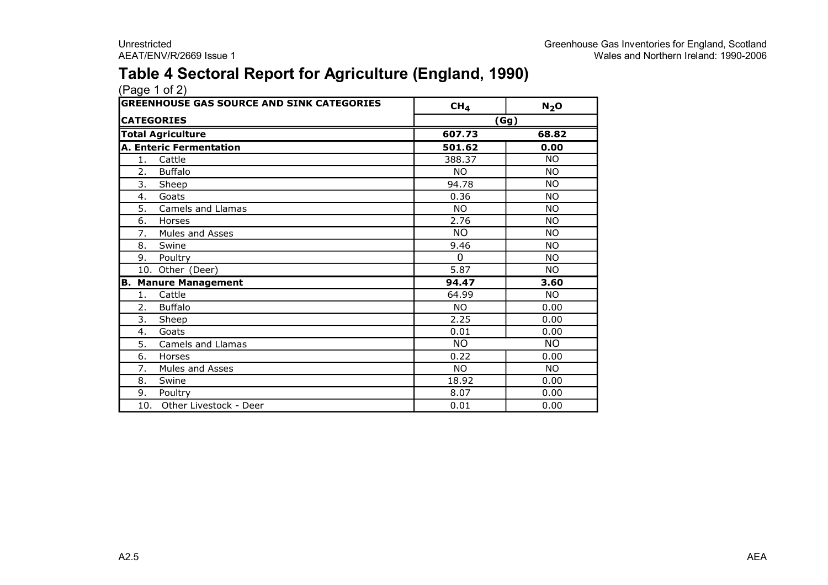### **Table 4 Sectoral Report for Agriculture (England, 1990)**

|     | <b>GREENHOUSE GAS SOURCE AND SINK CATEGORIES</b> | CH <sub>4</sub>      | $N_2$ O   |  |  |
|-----|--------------------------------------------------|----------------------|-----------|--|--|
|     | <b>CATEGORIES</b>                                | (Gg)                 |           |  |  |
|     | <b>Total Agriculture</b>                         | 607.73               | 68.82     |  |  |
|     | <b>A. Enteric Fermentation</b>                   | $\overline{501}$ .62 | 0.00      |  |  |
| 1.  | Cattle                                           | 388.37               | <b>NO</b> |  |  |
| 2.  | <b>Buffalo</b>                                   | <b>NO</b>            | <b>NO</b> |  |  |
| 3.  | Sheep                                            | 94.78                | <b>NO</b> |  |  |
| 4.  | Goats                                            | 0.36                 | <b>NO</b> |  |  |
| 5.  | Camels and Llamas                                | <b>NO</b>            | <b>NO</b> |  |  |
| 6.  | Horses                                           | 2.76                 | <b>NO</b> |  |  |
| 7.  | Mules and Asses                                  | <b>NO</b>            | <b>NO</b> |  |  |
| 8.  | Swine                                            | 9.46                 | <b>NO</b> |  |  |
| 9.  | Poultry                                          | 0                    | <b>NO</b> |  |  |
|     | 10. Other (Deer)                                 | 5.87                 | <b>NO</b> |  |  |
|     | <b>B. Manure Management</b>                      | 94.47                | 3.60      |  |  |
| 1.  | Cattle                                           | 64.99                | <b>NO</b> |  |  |
| 2.  | <b>Buffalo</b>                                   | <b>NO</b>            | 0.00      |  |  |
| 3.  | Sheep                                            | 2.25                 | 0.00      |  |  |
| 4.  | Goats                                            | 0.01                 | 0.00      |  |  |
| 5.  | Camels and Llamas                                | <b>NO</b>            | <b>NO</b> |  |  |
| 6.  | Horses                                           | 0.22                 | 0.00      |  |  |
| 7.  | Mules and Asses                                  | <b>NO</b>            | <b>NO</b> |  |  |
| 8.  | Swine                                            | 18.92                | 0.00      |  |  |
| 9.  | Poultry                                          | 8.07                 | 0.00      |  |  |
| 10. | Other Livestock - Deer                           | 0.01                 | 0.00      |  |  |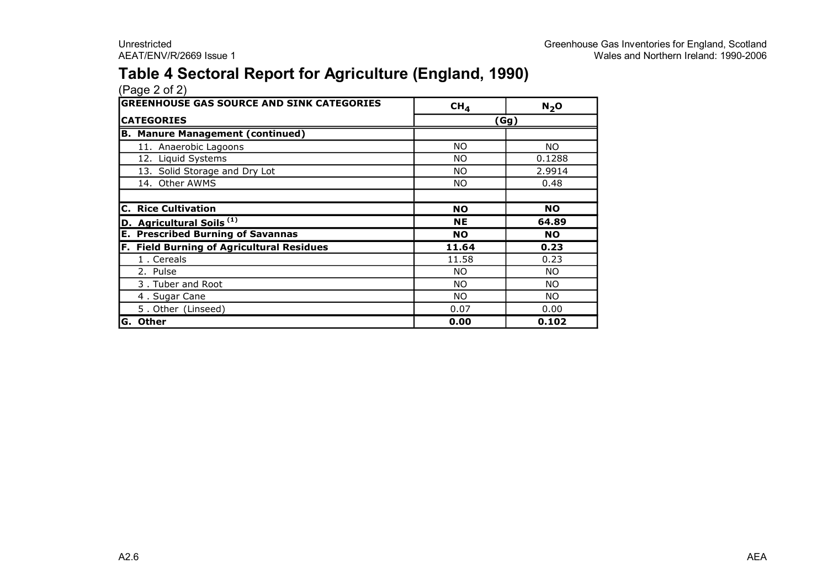### **Table 4 Sectoral Report for Agriculture (England, 1990)**

| <b>GREENHOUSE GAS SOURCE AND SINK CATEGORIES</b> | CH <sub>4</sub> | N <sub>2</sub> O |
|--------------------------------------------------|-----------------|------------------|
| <b>CATEGORIES</b>                                | (Gg)            |                  |
| <b>B. Manure Management (continued)</b>          |                 |                  |
| 11. Anaerobic Lagoons                            | NO.             | NO.              |
| 12. Liquid Systems                               | NO.             | 0.1288           |
| 13. Solid Storage and Dry Lot                    | NO.             | 2.9914           |
| 14. Other AWMS                                   | NO.             | 0.48             |
|                                                  |                 |                  |
| <b>C. Rice Cultivation</b>                       | <b>NO</b>       | <b>NO</b>        |
| D. Agricultural Soils <sup>(1)</sup>             | <b>NE</b>       | 64.89            |
| <b>E. Prescribed Burning of Savannas</b>         | <b>NO</b>       | <b>NO</b>        |
| <b>F. Field Burning of Agricultural Residues</b> | 11.64           | 0.23             |
| 1. Cereals                                       | 11.58           | 0.23             |
| 2. Pulse                                         | NO.             | NO.              |
| 3. Tuber and Root                                | NO.             | NO.              |
| 4. Sugar Cane                                    | NO.             | NO.              |
| 5. Other (Linseed)                               | 0.07            | 0.00             |
| G. Other                                         | 0.00            | 0.102            |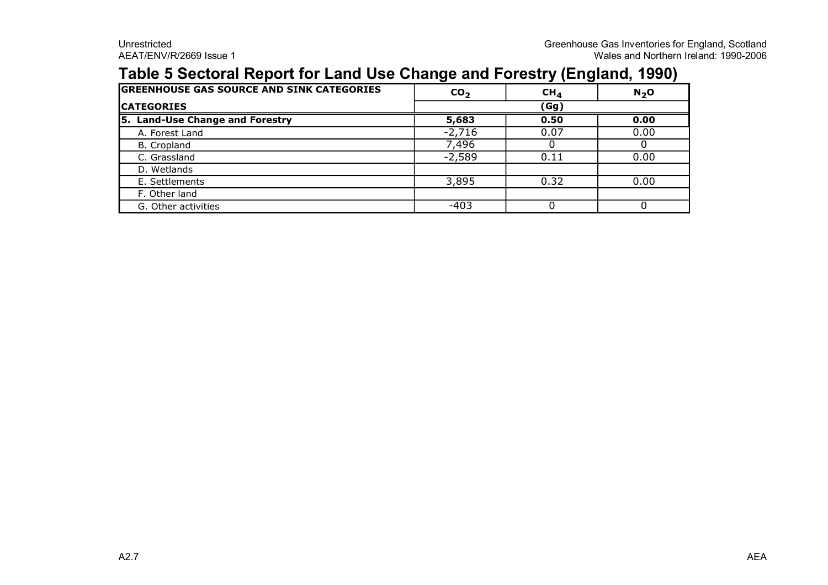### **Table 5 Sectoral Report for Land Use Change and Forestry (England, 1990)**

| <b>GREENHOUSE GAS SOURCE AND SINK CATEGORIES</b> | CO <sub>2</sub> | CH <sub>4</sub> | N <sub>2</sub> O |  |
|--------------------------------------------------|-----------------|-----------------|------------------|--|
| <b>CATEGORIES</b>                                | (Gg)            |                 |                  |  |
| 5. Land-Use Change and Forestry                  | 5,683           | 0.50            | 0.00             |  |
| A. Forest Land                                   | $-2,716$        | 0.07            | 0.00             |  |
| B. Cropland                                      | 7,496           |                 |                  |  |
| C. Grassland                                     | $-2,589$        | 0.11            | 0.00             |  |
| D. Wetlands                                      |                 |                 |                  |  |
| E. Settlements                                   | 3,895           | 0.32            | 0.00             |  |
| F. Other land                                    |                 |                 |                  |  |
| G. Other activities                              | -403            |                 |                  |  |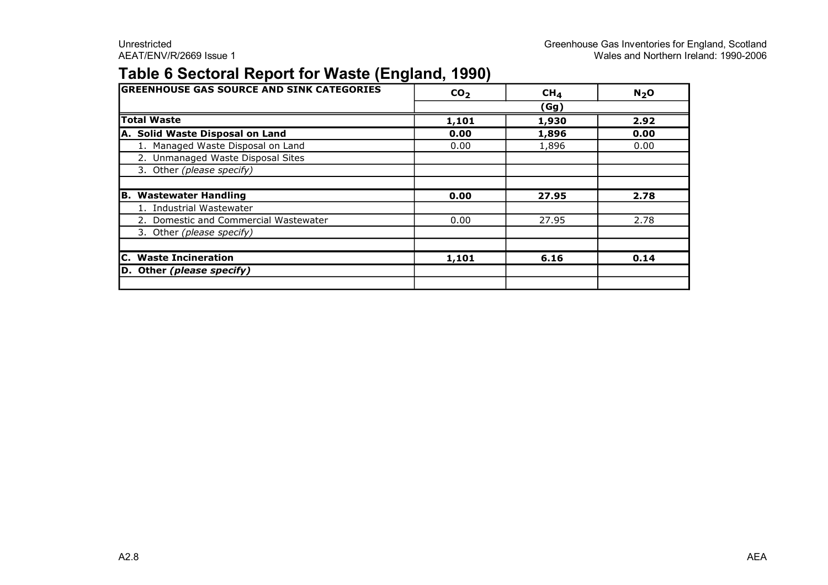### **Table 6 Sectoral Report for Waste (England, 1990)**

| <b>GREENHOUSE GAS SOURCE AND SINK CATEGORIES</b> | CO <sub>2</sub> | CH <sub>4</sub> | N <sub>2</sub> O |
|--------------------------------------------------|-----------------|-----------------|------------------|
|                                                  |                 | (Gg)            |                  |
| <b>Total Waste</b>                               | 1,101           | 1,930           | 2.92             |
| A. Solid Waste Disposal on Land                  | 0.00            | 1,896           | 0.00             |
| 1. Managed Waste Disposal on Land                | 0.00            | 1,896           | 0.00             |
| 2. Unmanaged Waste Disposal Sites                |                 |                 |                  |
| 3. Other (please specify)                        |                 |                 |                  |
|                                                  |                 |                 |                  |
| <b>B. Wastewater Handling</b>                    | 0.00            | 27.95           | 2.78             |
| 1. Industrial Wastewater                         |                 |                 |                  |
| 2. Domestic and Commercial Wastewater            | 0.00            | 27.95           | 2.78             |
| 3. Other (please specify)                        |                 |                 |                  |
|                                                  |                 |                 |                  |
| <b>C.</b> Waste Incineration                     | 1,101           | 6.16            | 0.14             |
| D. Other (please specify)                        |                 |                 |                  |
|                                                  |                 |                 |                  |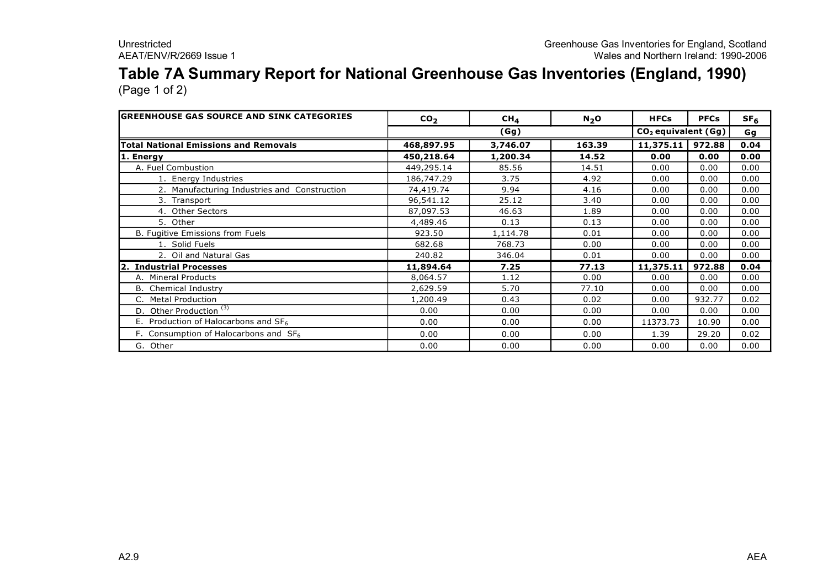### **Table 7A Summary Report for National Greenhouse Gas Inventories (England, 1990)** (Page 1 of 2)

**GREENHOUSE GAS SOURCE AND SINK CATEGORIES**  $\begin{vmatrix} \text{CO}_2 \end{vmatrix}$   $\begin{vmatrix} \text{CH}_4 \end{vmatrix}$  N<sub>2</sub>O  $\begin{vmatrix} \text{HFCs} \end{vmatrix}$  PFCs  $\begin{vmatrix} \text{SFG} \end{vmatrix}$ **Gg Total National Emissions and Removals 468,897.95 3,746.07 163.39 11,375.11 972.88 0.04 1. Energy 450,218.64 1,200.34 14.52 0.00 0.00 0.00** A. Fuel Combustion | 449,295.14 | 85.56 | 14.51 | 0.00 | 0.00 | 0.00 1. Energy Industries 1. 186,747.29 1. 3.75 1. 4.92 1.0.00 0.00 0.00 0.00 2. Manufacturing Industries and Construction 1 74.419.74 | 9.94 | 4.16 | 0.00 | 0.00 | 0.00 3. Transport 96,541.12 25.12 3.40 0.00 0.00 0.00 4. Other Sectors 87,097.53 46.63 1.89 0.00 0.00 0.00 5. Other 4,489.46 0.13 0.13 0.00 0.00 0.00 B. Fugitive Emissions from Fuels **B.** Fugitive Emissions from Fuels **1.114.78 1.114.78 1.000 1.000 1.000 0.00 1.000 1.000 1.000 1.000 1.000 1.000 1.000 1.000 1.000 1.000 1.000 1.000 1.00** 1. Solid Fuels 682.68 768.73 0.00 0.00 0.00 0.00 2. Oil and Natural Gas 240.82 346.04 0.01 0.00 0.00 0.00 **2. Industrial Processes 11,894.64 7.25 77.13 11,375.11 972.88 0.04** A. Mineral Products 8,064.57 1.12 0.00 0.00 0.00 0.00 B. Chemical Industry 2,629.59 | 2,629.59 | 5.70 | 77.10 | 0.00 | 0.00 | 0.00 C. Metal Production 1,200.49 0.43 0.02 0.00 932.77 0.02 D. Other Production<sup>(3)</sup> **0.00** 0.00 0.00 0.00 0.00 0.00 0.00 0.00 0.00 E. Production of Halocarbons and SF<sub>6</sub> 2.000 **0.00** 0.00 **0.00** 11373.73 10.90 0.00 F. Consumption of Halocarbons and SF<sub>6</sub>  $\vert$  0.00  $\vert$  0.00  $\vert$  0.00  $\vert$  1.39  $\vert$  29.20  $\vert$  0.02 G. Other 0.00 0.00 0.00 0.00 0.00 0.00 **(Gg) CO<sup>2</sup> equivalent (Gg)**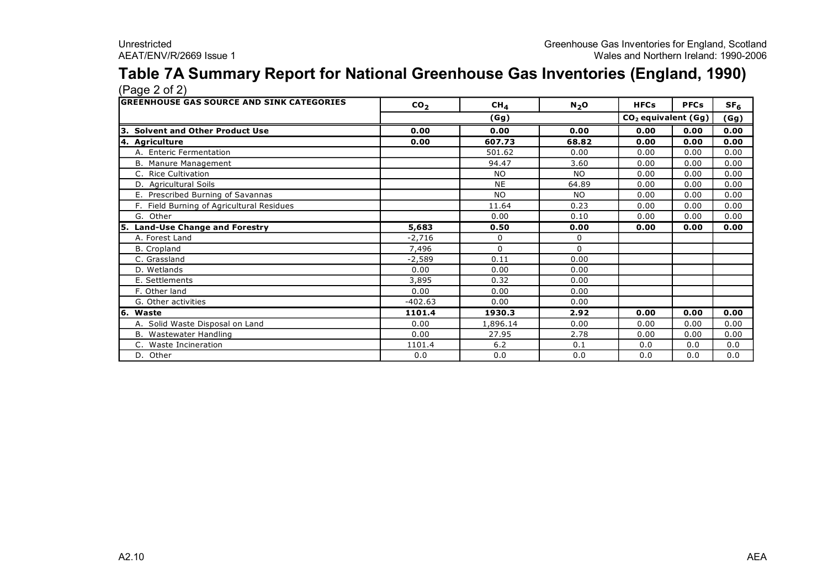### **Table 7A Summary Report for National Greenhouse Gas Inventories (England, 1990)** (Page 2 of 2)

| <b>GREENHOUSE GAS SOURCE AND SINK CATEGORIES</b> | CO <sub>2</sub> | CH <sub>4</sub> | $N_2$ O   | <b>HFCs</b>                     | <b>PFCs</b> | SF <sub>6</sub> |
|--------------------------------------------------|-----------------|-----------------|-----------|---------------------------------|-------------|-----------------|
|                                                  | (Gg)            |                 |           | CO <sub>2</sub> equivalent (Gg) | (Gg)        |                 |
| <b>Solvent and Other Product Use</b>             | 0.00            | 0.00            | 0.00      | 0.00                            | 0.00        | 0.00            |
| 4. Agriculture                                   | 0.00            | 607.73          | 68.82     | 0.00                            | 0.00        | 0.00            |
| A. Enteric Fermentation                          |                 | 501.62          | 0.00      | 0.00                            | 0.00        | 0.00            |
| B. Manure Management                             |                 | 94.47           | 3.60      | 0.00                            | 0.00        | 0.00            |
| C. Rice Cultivation                              |                 | <b>NO</b>       | <b>NO</b> | 0.00                            | 0.00        | 0.00            |
| D. Agricultural Soils                            |                 | <b>NE</b>       | 64.89     | 0.00                            | 0.00        | 0.00            |
| E. Prescribed Burning of Savannas                |                 | <b>NO</b>       | <b>NO</b> | 0.00                            | 0.00        | 0.00            |
| F. Field Burning of Agricultural Residues        |                 | 11.64           | 0.23      | 0.00                            | 0.00        | 0.00            |
| G. Other                                         |                 | 0.00            | 0.10      | 0.00                            | 0.00        | 0.00            |
| <b>Land-Use Change and Forestry</b>              | 5,683           | 0.50            | 0.00      | 0.00                            | 0.00        | 0.00            |
| A. Forest Land                                   | $-2,716$        | 0               | 0         |                                 |             |                 |
| <b>B.</b> Cropland                               | 7,496           | $\Omega$        | 0         |                                 |             |                 |
| C. Grassland                                     | $-2,589$        | 0.11            | 0.00      |                                 |             |                 |
| D. Wetlands                                      | 0.00            | 0.00            | 0.00      |                                 |             |                 |
| E. Settlements                                   | 3,895           | 0.32            | 0.00      |                                 |             |                 |
| F. Other land                                    | 0.00            | 0.00            | 0.00      |                                 |             |                 |
| G. Other activities                              | $-402.63$       | 0.00            | 0.00      |                                 |             |                 |
| 16.<br>Waste                                     | 1101.4          | 1930.3          | 2.92      | 0.00                            | 0.00        | 0.00            |
| A. Solid Waste Disposal on Land                  | 0.00            | 1,896.14        | 0.00      | 0.00                            | 0.00        | 0.00            |
| B. Wastewater Handling                           | 0.00            | 27.95           | 2.78      | 0.00                            | 0.00        | 0.00            |
| C. Waste Incineration                            | 1101.4          | $6.2$           | 0.1       | 0.0                             | 0.0         | 0.0             |
| D. Other                                         | 0.0             | 0.0             | 0.0       | 0.0                             | 0.0         | 0.0             |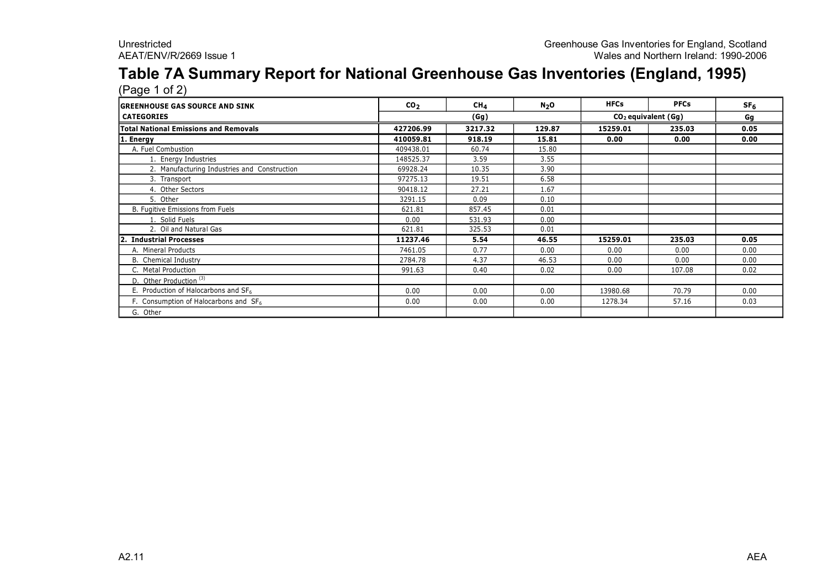#### **Table 7A Summary Report for National Greenhouse Gas Inventories (England, 1995)**  $(Pane 1 of 2)$

| <b>GREENHOUSE GAS SOURCE AND SINK</b>             | CO <sub>2</sub> | CH <sub>4</sub> | $N_2$ O | <b>HFCs</b>           | <b>PFCs</b> | SF <sub>6</sub> |  |
|---------------------------------------------------|-----------------|-----------------|---------|-----------------------|-------------|-----------------|--|
| <b>CATEGORIES</b>                                 |                 | (Gg)            |         | $CO2$ equivalent (Gg) |             | Gg              |  |
| Total National Emissions and Removals             | 427206.99       | 3217.32         | 129.87  | 15259.01              | 235.03      | 0.05            |  |
| 1. Energy                                         | 410059.81       | 918.19          | 15.81   | 0.00                  | 0.00        | 0.00            |  |
| A. Fuel Combustion                                | 409438.01       | 60.74           | 15.80   |                       |             |                 |  |
| 1. Energy Industries                              | 148525.37       | 3.59            | 3.55    |                       |             |                 |  |
| 2. Manufacturing Industries and Construction      | 69928.24        | 10.35           | 3.90    |                       |             |                 |  |
| 3. Transport                                      | 97275.13        | 19.51           | 6.58    |                       |             |                 |  |
| 4. Other Sectors                                  | 90418.12        | 27.21           | 1.67    |                       |             |                 |  |
| 5. Other                                          | 3291.15         | 0.09            | 0.10    |                       |             |                 |  |
| B. Fugitive Emissions from Fuels                  | 621.81          | 857.45          | 0.01    |                       |             |                 |  |
| 1. Solid Fuels                                    | 0.00            | 531.93          | 0.00    |                       |             |                 |  |
| 2. Oil and Natural Gas                            | 621.81          | 325.53          | 0.01    |                       |             |                 |  |
| 2.<br><b>Industrial Processes</b>                 | 11237.46        | 5.54            | 46.55   | 15259.01              | 235.03      | 0.05            |  |
| A. Mineral Products                               | 7461.05         | 0.77            | 0.00    | 0.00                  | 0.00        | 0.00            |  |
| <b>B.</b> Chemical Industry                       | 2784.78         | 4.37            | 46.53   | 0.00                  | 0.00        | 0.00            |  |
| C. Metal Production                               | 991.63          | 0.40            | 0.02    | 0.00                  | 107.08      | 0.02            |  |
| D. Other Production <sup>(3)</sup>                |                 |                 |         |                       |             |                 |  |
| E. Production of Halocarbons and SF <sub>6</sub>  | 0.00            | 0.00            | 0.00    | 13980.68              | 70.79       | 0.00            |  |
| F. Consumption of Halocarbons and SF <sub>6</sub> | 0.00            | 0.00            | 0.00    | 1278.34               | 57.16       | 0.03            |  |
| G. Other                                          |                 |                 |         |                       |             |                 |  |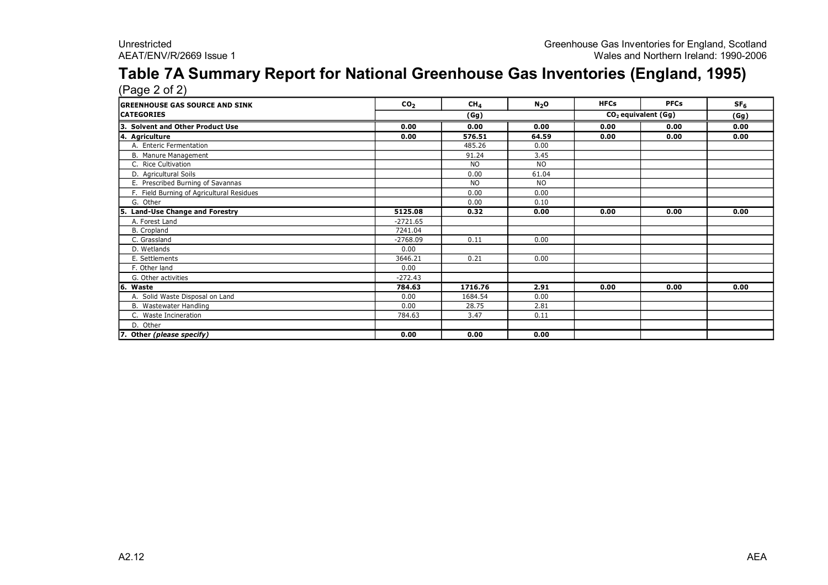#### **Table 7A Summary Report for National Greenhouse Gas Inventories (England, 1995)**  $(P$ age  $2$  of  $2)$

| <b>IGREENHOUSE GAS SOURCE AND SINK</b>     | CO <sub>2</sub> | CH <sub>4</sub>                         | $N_2$ O   | <b>HFCs</b> | <b>PFCs</b> | SF <sub>6</sub> |
|--------------------------------------------|-----------------|-----------------------------------------|-----------|-------------|-------------|-----------------|
| <b>CATEGORIES</b>                          |                 | CO <sub>2</sub> equivalent (Gg)<br>(Gg) |           |             |             |                 |
| 3.<br><b>Solvent and Other Product Use</b> | 0.00            | 0.00                                    | 0.00      | 0.00        | 0.00        | 0.00            |
| 4. Agriculture                             | 0.00            | 576.51                                  | 64.59     | 0.00        | 0.00        | 0.00            |
| A. Enteric Fermentation                    |                 | 485.26                                  | 0.00      |             |             |                 |
| B. Manure Management                       |                 | 91.24                                   | 3.45      |             |             |                 |
| C. Rice Cultivation                        |                 | N <sub>O</sub>                          | NO.       |             |             |                 |
| D. Agricultural Soils                      |                 | 0.00                                    | 61.04     |             |             |                 |
| E. Prescribed Burning of Savannas          |                 | <b>NO</b>                               | <b>NO</b> |             |             |                 |
| F. Field Burning of Agricultural Residues  |                 | 0.00                                    | 0.00      |             |             |                 |
| G. Other                                   |                 | 0.00                                    | 0.10      |             |             |                 |
| <b>Land-Use Change and Forestry</b><br>5.  | 5125.08         | 0.32                                    | 0.00      | 0.00        | 0.00        | 0.00            |
| A. Forest Land                             | $-2721.65$      |                                         |           |             |             |                 |
| B. Cropland                                | 7241.04         |                                         |           |             |             |                 |
| C. Grassland                               | $-2768.09$      | 0.11                                    | 0.00      |             |             |                 |
| D. Wetlands                                | 0.00            |                                         |           |             |             |                 |
| E. Settlements                             | 3646.21         | 0.21                                    | 0.00      |             |             |                 |
| F. Other land                              | 0.00            |                                         |           |             |             |                 |
| G. Other activities                        | $-272.43$       |                                         |           |             |             |                 |
| l6.<br>Waste                               | 784.63          | 1716.76                                 | 2.91      | 0.00        | 0.00        | 0.00            |
| A. Solid Waste Disposal on Land            | 0.00            | 1684.54                                 | 0.00      |             |             |                 |
| B. Wastewater Handling                     | 0.00            | 28.75                                   | 2.81      |             |             |                 |
| C. Waste Incineration                      | 784.63          | 3.47                                    | 0.11      |             |             |                 |
| D. Other                                   |                 |                                         |           |             |             |                 |
| 7. Other (please specify)                  | 0.00            | 0.00                                    | 0.00      |             |             |                 |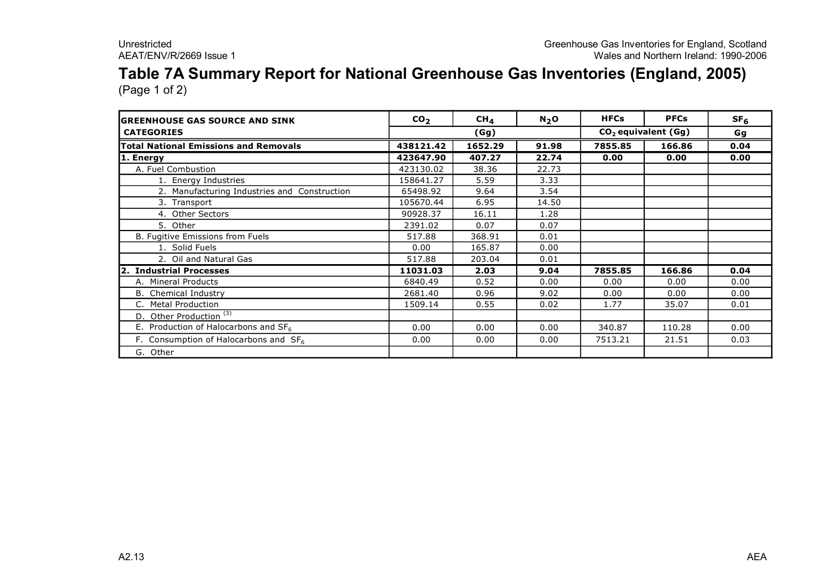### **Table 7A Summary Report for National Greenhouse Gas Inventories (England, 2005)** (Page 1 of 2)

| IGREENHOUSE GAS SOURCE AND SINK              | CO <sub>2</sub> | $CH_{4}$ | $N_2$ O | <b>HFCs</b> | <b>PFCs</b>           | SF <sub>6</sub> |
|----------------------------------------------|-----------------|----------|---------|-------------|-----------------------|-----------------|
| <b>CATEGORIES</b>                            |                 | (Gg)     |         |             | $CO2$ equivalent (Gg) | Gg              |
| <b>Total National Emissions and Removals</b> | 438121.42       | 1652.29  | 91.98   | 7855.85     | 166.86                | 0.04            |
| 1. Energy                                    | 423647.90       | 407.27   | 22.74   | 0.00        | 0.00                  | 0.00            |
| A. Fuel Combustion                           | 423130.02       | 38.36    | 22.73   |             |                       |                 |
| 1. Energy Industries                         | 158641.27       | 5.59     | 3.33    |             |                       |                 |
| 2. Manufacturing Industries and Construction | 65498.92        | 9.64     | 3.54    |             |                       |                 |
| 3. Transport                                 | 105670.44       | 6.95     | 14.50   |             |                       |                 |
| 4. Other Sectors                             | 90928.37        | 16.11    | 1.28    |             |                       |                 |
| 5. Other                                     | 2391.02         | 0.07     | 0.07    |             |                       |                 |
| B. Fugitive Emissions from Fuels             | 517.88          | 368.91   | 0.01    |             |                       |                 |
| 1. Solid Fuels                               | 0.00            | 165.87   | 0.00    |             |                       |                 |
| 2. Oil and Natural Gas                       | 517.88          | 203.04   | 0.01    |             |                       |                 |
| <b>Industrial Processes</b>                  | 11031.03        | 2.03     | 9.04    | 7855.85     | 166.86                | 0.04            |
| A. Mineral Products                          | 6840.49         | 0.52     | 0.00    | 0.00        | 0.00                  | 0.00            |
| <b>B.</b> Chemical Industry                  | 2681.40         | 0.96     | 9.02    | 0.00        | 0.00                  | 0.00            |
| C. Metal Production                          | 1509.14         | 0.55     | 0.02    | 1.77        | 35.07                 | 0.01            |
| D. Other Production <sup>(3)</sup>           |                 |          |         |             |                       |                 |
| E. Production of Halocarbons and $SF6$       | 0.00            | 0.00     | 0.00    | 340.87      | 110.28                | 0.00            |
| F. Consumption of Halocarbons and $SF6$      | 0.00            | 0.00     | 0.00    | 7513.21     | 21.51                 | 0.03            |
| G. Other                                     |                 |          |         |             |                       |                 |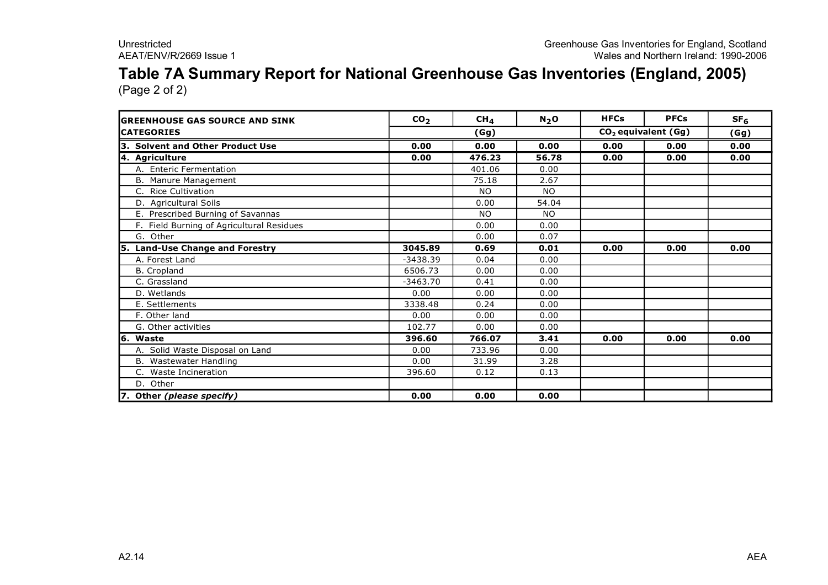### **Table 7A Summary Report for National Greenhouse Gas Inventories (England, 2005)** (Page 2 of 2)

| <b>IGREENHOUSE GAS SOURCE AND SINK</b>    | CO <sub>2</sub> | CH <sub>4</sub> | $N_2$ O   | <b>HFCs</b> | <b>PFCs</b>                     | SF <sub>6</sub> |
|-------------------------------------------|-----------------|-----------------|-----------|-------------|---------------------------------|-----------------|
| <b>ICATEGORIES</b>                        |                 | (Gg)            |           |             | CO <sub>2</sub> equivalent (Gg) | (Gg)            |
| 3. Solvent and Other Product Use          | 0.00            | 0.00            | 0.00      | 0.00        | 0.00                            | 0.00            |
| 4. Agriculture                            | 0.00            | 476.23          | 56.78     | 0.00        | 0.00                            | 0.00            |
| A. Enteric Fermentation                   |                 | 401.06          | 0.00      |             |                                 |                 |
| B. Manure Management                      |                 | 75.18           | 2.67      |             |                                 |                 |
| <b>Rice Cultivation</b><br>C.             |                 | <b>NO</b>       | <b>NO</b> |             |                                 |                 |
| D. Agricultural Soils                     |                 | 0.00            | 54.04     |             |                                 |                 |
| E. Prescribed Burning of Savannas         |                 | <b>NO</b>       | <b>NO</b> |             |                                 |                 |
| F. Field Burning of Agricultural Residues |                 | 0.00            | 0.00      |             |                                 |                 |
| G. Other                                  |                 | 0.00            | 0.07      |             |                                 |                 |
| 5. Land-Use Change and Forestry           | 3045.89         | 0.69            | 0.01      | 0.00        | 0.00                            | 0.00            |
| A. Forest Land                            | $-3438.39$      | 0.04            | 0.00      |             |                                 |                 |
| <b>B.</b> Cropland                        | 6506.73         | 0.00            | 0.00      |             |                                 |                 |
| C. Grassland                              | $-3463.70$      | 0.41            | 0.00      |             |                                 |                 |
| D. Wetlands                               | 0.00            | 0.00            | 0.00      |             |                                 |                 |
| E. Settlements                            | 3338.48         | 0.24            | 0.00      |             |                                 |                 |
| F. Other land                             | 0.00            | 0.00            | 0.00      |             |                                 |                 |
| G. Other activities                       | 102.77          | 0.00            | 0.00      |             |                                 |                 |
| 6. Waste                                  | 396.60          | 766.07          | 3.41      | 0.00        | 0.00                            | 0.00            |
| A. Solid Waste Disposal on Land           | 0.00            | 733.96          | 0.00      |             |                                 |                 |
| B. Wastewater Handling                    | 0.00            | 31.99           | 3.28      |             |                                 |                 |
| C. Waste Incineration                     | 396.60          | 0.12            | 0.13      |             |                                 |                 |
| D. Other                                  |                 |                 |           |             |                                 |                 |
| 7. Other (please specify)                 | 0.00            | 0.00            | 0.00      |             |                                 |                 |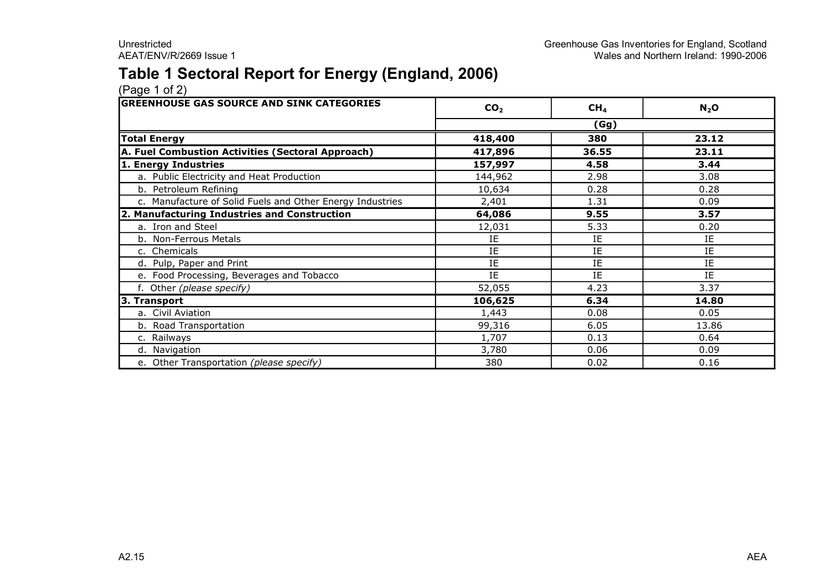### **Table 1 Sectoral Report for Energy (England, 2006)**

| <b>GREENHOUSE GAS SOURCE AND SINK CATEGORIES</b>          | CO <sub>2</sub> | CH <sub>4</sub> | $N_2$ O |
|-----------------------------------------------------------|-----------------|-----------------|---------|
|                                                           |                 | (Gg)            |         |
| <b>Total Energy</b>                                       | 418,400         | 380             | 23.12   |
| A. Fuel Combustion Activities (Sectoral Approach)         | 417,896         | 36.55           | 23.11   |
| 1. Energy Industries                                      | 157,997         | 4.58            | 3.44    |
| a. Public Electricity and Heat Production                 | 144,962         | 2.98            | 3.08    |
| b. Petroleum Refining                                     | 10,634          | 0.28            | 0.28    |
| c. Manufacture of Solid Fuels and Other Energy Industries | 2,401           | 1.31            | 0.09    |
| 2. Manufacturing Industries and Construction              | 64,086          | 9.55            | 3.57    |
| a. Iron and Steel                                         | 12,031          | 5.33            | 0.20    |
| b. Non-Ferrous Metals                                     | IE              | IE              | ΙE      |
| c. Chemicals                                              | IE              | IE              | IE      |
| d. Pulp, Paper and Print                                  | IE              | IE              | IE      |
| e. Food Processing, Beverages and Tobacco                 | IE              | IE              | IE      |
| f. Other (please specify)                                 | 52,055          | 4.23            | 3.37    |
| 3. Transport                                              | 106,625         | 6.34            | 14.80   |
| a. Civil Aviation                                         | 1,443           | 0.08            | 0.05    |
| b. Road Transportation                                    | 99,316          | 6.05            | 13.86   |
| c. Railways                                               | 1,707           | 0.13            | 0.64    |
| d. Navigation                                             | 3,780           | 0.06            | 0.09    |
| e. Other Transportation (please specify)                  | 380             | 0.02            | 0.16    |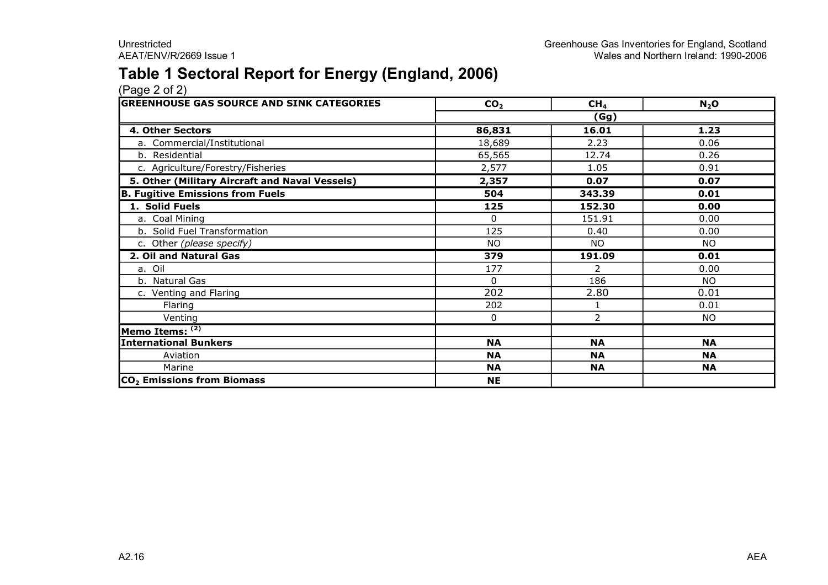### **Table 1 Sectoral Report for Energy (England, 2006)**

| <b>GREENHOUSE GAS SOURCE AND SINK CATEGORIES</b> | CO <sub>2</sub> | CH <sub>4</sub> | $N_2$ O   |
|--------------------------------------------------|-----------------|-----------------|-----------|
|                                                  |                 | (Gg)            |           |
| 4. Other Sectors                                 | 86,831          | 16.01           | 1.23      |
| a. Commercial/Institutional                      | 18,689          | 2.23            | 0.06      |
| b. Residential                                   | 65,565          | 12.74           | 0.26      |
| c. Agriculture/Forestry/Fisheries                | 2,577           | 1.05            | 0.91      |
| 5. Other (Military Aircraft and Naval Vessels)   | 2,357           | 0.07            | 0.07      |
| <b>B. Fugitive Emissions from Fuels</b>          | 504             | 343.39          | 0.01      |
| 1. Solid Fuels                                   | 125             | 152.30          | 0.00      |
| a. Coal Mining                                   | $\mathbf{0}$    | 151.91          | 0.00      |
| b. Solid Fuel Transformation                     | 125             | 0.40            | 0.00      |
| c. Other (please specify)                        | <b>NO</b>       | NO.             | NO        |
| 2. Oil and Natural Gas                           | 379             | 191.09          | 0.01      |
| a. Oil                                           | 177             | $\mathcal{P}$   | 0.00      |
| b. Natural Gas                                   | $\Omega$        | 186             | <b>NO</b> |
| c. Venting and Flaring                           | 202             | 2.80            | 0.01      |
| Flaring                                          | 202             | 1               | 0.01      |
| Venting                                          | $\mathbf{0}$    | $\overline{2}$  | NO.       |
| Memo Items: (2)                                  |                 |                 |           |
| <b>International Bunkers</b>                     | <b>NA</b>       | <b>NA</b>       | <b>NA</b> |
| Aviation                                         | <b>NA</b>       | <b>NA</b>       | <b>NA</b> |
| Marine                                           | <b>NA</b>       | <b>NA</b>       | <b>NA</b> |
| CO <sub>2</sub> Emissions from Biomass           | <b>NE</b>       |                 |           |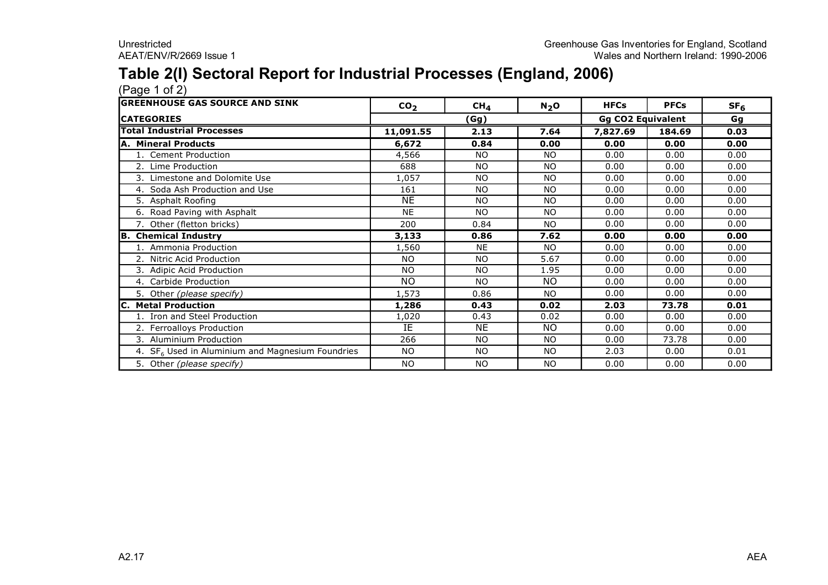## **Table 2(I) Sectoral Report for Industrial Processes (England, 2006)**

| <b>lGREENHOUSE GAS SOURCE AND SINK</b>                       | CO <sub>2</sub> | CH <sub>4</sub> | $N_2$ O   | <b>HFCs</b>              | <b>PFCs</b> | SF <sub>6</sub> |
|--------------------------------------------------------------|-----------------|-----------------|-----------|--------------------------|-------------|-----------------|
| <b>ICATEGORIES</b>                                           |                 | (Gg)            |           | <b>Gg CO2 Equivalent</b> |             | Gg              |
| <b>Total Industrial Processes</b>                            | 11,091.55       | 2.13            | 7.64      | 7,827.69                 | 184.69      | 0.03            |
| A. Mineral Products                                          | 6,672           | 0.84            | 0.00      | 0.00                     | 0.00        | 0.00            |
| 1. Cement Production                                         | 4,566           | <b>NO</b>       | <b>NO</b> | 0.00                     | 0.00        | 0.00            |
| 2. Lime Production                                           | 688             | <b>NO</b>       | <b>NO</b> | 0.00                     | 0.00        | 0.00            |
| 3. Limestone and Dolomite Use                                | 1,057           | <b>NO</b>       | <b>NO</b> | 0.00                     | 0.00        | 0.00            |
| 4. Soda Ash Production and Use                               | 161             | <b>NO</b>       | <b>NO</b> | 0.00                     | 0.00        | 0.00            |
| 5. Asphalt Roofing                                           | NE              | <b>NO</b>       | <b>NO</b> | 0.00                     | 0.00        | 0.00            |
| 6. Road Paving with Asphalt                                  | <b>NE</b>       | <b>NO</b>       | NO.       | 0.00                     | 0.00        | 0.00            |
| 7. Other (fletton bricks)                                    | 200             | 0.84            | NO.       | 0.00                     | 0.00        | 0.00            |
| <b>B. Chemical Industry</b>                                  | 3,133           | 0.86            | 7.62      | 0.00                     | 0.00        | 0.00            |
| 1. Ammonia Production                                        | 1,560           | <b>NE</b>       | <b>NO</b> | 0.00                     | 0.00        | 0.00            |
| 2. Nitric Acid Production                                    | <b>NO</b>       | <b>NO</b>       | 5.67      | 0.00                     | 0.00        | 0.00            |
| 3. Adipic Acid Production                                    | NO.             | <b>NO</b>       | 1.95      | 0.00                     | 0.00        | 0.00            |
| 4. Carbide Production                                        | NO.             | <b>NO</b>       | <b>NO</b> | 0.00                     | 0.00        | 0.00            |
| 5. Other (please specify)                                    | 1,573           | 0.86            | NO.       | 0.00                     | 0.00        | 0.00            |
| <b>C. Metal Production</b>                                   | 1,286           | 0.43            | 0.02      | 2.03                     | 73.78       | 0.01            |
| 1. Iron and Steel Production                                 | 1,020           | 0.43            | 0.02      | 0.00                     | 0.00        | 0.00            |
| 2. Ferroalloys Production                                    | IE              | <b>NE</b>       | <b>NO</b> | 0.00                     | 0.00        | 0.00            |
| 3. Aluminium Production                                      | 266             | <b>NO</b>       | NO.       | 0.00                     | 73.78       | 0.00            |
| 4. SF <sub>6</sub> Used in Aluminium and Magnesium Foundries | NO.             | <b>NO</b>       | <b>NO</b> | 2.03                     | 0.00        | 0.01            |
| 5. Other (please specify)                                    | NO.             | <b>NO</b>       | <b>NO</b> | 0.00                     | 0.00        | 0.00            |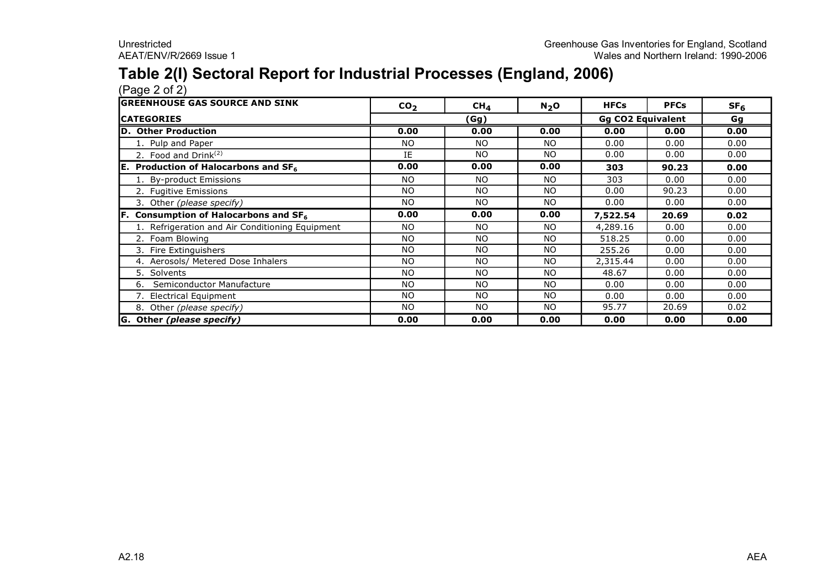# **Table 2(I) Sectoral Report for Industrial Processes (England, 2006)**

| <b>lGREENHOUSE GAS SOURCE AND SINK</b>          | CO <sub>2</sub> | CH <sub>4</sub> | $N_2$ O   | <b>HFCs</b>              | <b>PFCs</b> | SF <sub>6</sub> |
|-------------------------------------------------|-----------------|-----------------|-----------|--------------------------|-------------|-----------------|
| <b>ICATEGORIES</b>                              | (Gg)            |                 |           | <b>Gg CO2 Equivalent</b> | Gg          |                 |
| D. Other Production                             | 0.00            | 0.00            | 0.00      | 0.00                     | 0.00        | 0.00            |
| 1. Pulp and Paper                               | NO.             | N <sub>O</sub>  | NO.       | 0.00                     | 0.00        | 0.00            |
| 2. Food and Drink $(2)$                         | IE              | <b>NO</b>       | <b>NO</b> | 0.00                     | 0.00        | 0.00            |
| E. Production of Halocarbons and $SF6$          | 0.00            | 0.00            | 0.00      | 303                      | 90.23       | 0.00            |
| By-product Emissions                            | NO.             | <b>NO</b>       | <b>NO</b> | 303                      | 0.00        | 0.00            |
| 2. Fugitive Emissions                           | NO.             | <b>NO</b>       | NO        | 0.00                     | 90.23       | 0.00            |
| 3. Other (please specify)                       | NO.             | <b>NO</b>       | <b>NO</b> | 0.00                     | 0.00        | 0.00            |
| Consumption of Halocarbons and SF <sub>6</sub>  | 0.00            | 0.00            | 0.00      | 7,522.54                 | 20.69       | 0.02            |
| 1. Refrigeration and Air Conditioning Equipment | NO.             | <b>NO</b>       | <b>NO</b> | 4,289.16                 | 0.00        | 0.00            |
| 2. Foam Blowing                                 | NO.             | <b>NO</b>       | <b>NO</b> | 518.25                   | 0.00        | 0.00            |
| 3. Fire Extinguishers                           | NO.             | <b>NO</b>       | <b>NO</b> | 255.26                   | 0.00        | 0.00            |
| 4. Aerosols/ Metered Dose Inhalers              | NO.             | <b>NO</b>       | <b>NO</b> | 2,315.44                 | 0.00        | 0.00            |
| 5. Solvents                                     | NO.             | <b>NO</b>       | <b>NO</b> | 48.67                    | 0.00        | 0.00            |
| Semiconductor Manufacture<br>6.                 | NO.             | <b>NO</b>       | <b>NO</b> | 0.00                     | 0.00        | 0.00            |
| 7. Electrical Equipment                         | NO.             | N <sub>O</sub>  | <b>NO</b> | 0.00                     | 0.00        | 0.00            |
| 8. Other (please specify)                       | NO.             | N <sub>O</sub>  | <b>NO</b> | 95.77                    | 20.69       | 0.02            |
| G. Other (please specify)                       | 0.00            | 0.00            | 0.00      | 0.00                     | 0.00        | 0.00            |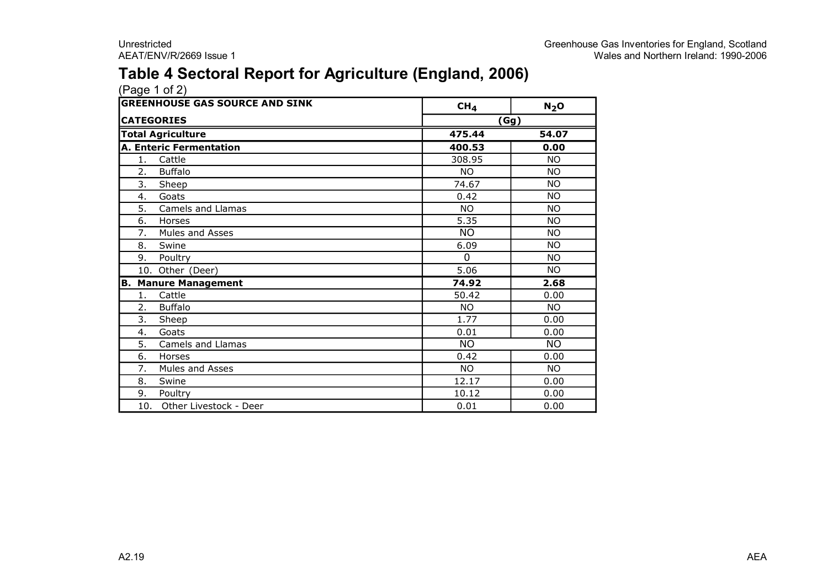### **Table 4 Sectoral Report for Agriculture (England, 2006)**

|     | <b>GREENHOUSE GAS SOURCE AND SINK</b> | CH <sub>4</sub> | $N_2$ O   |
|-----|---------------------------------------|-----------------|-----------|
|     | <b>CATEGORIES</b>                     |                 | (Gg)      |
|     | <b>Total Agriculture</b>              | 475.44          | 54.07     |
|     | <b>A. Enteric Fermentation</b>        | 400.53          | 0.00      |
| 1.  | Cattle                                | 308.95          | <b>NO</b> |
| 2.  | <b>Buffalo</b>                        | NO.             | <b>NO</b> |
| 3.  | Sheep                                 | 74.67           | <b>NO</b> |
| 4.  | Goats                                 | 0.42            | <b>NO</b> |
| 5.  | Camels and Llamas                     | <b>NO</b>       | NΟ        |
| 6.  | Horses                                | 5.35            | <b>NO</b> |
| 7.  | Mules and Asses                       | <b>NO</b>       | <b>NO</b> |
| 8.  | Swine                                 | 6.09            | <b>NO</b> |
| 9.  | Poultry                               | $\Omega$        | <b>NO</b> |
|     | 10. Other (Deer)                      | 5.06            | <b>NO</b> |
| В.  | <b>Manure Management</b>              | 74.92           | 2.68      |
| 1.  | Cattle                                | 50.42           | 0.00      |
| 2.  | <b>Buffalo</b>                        | <b>NO</b>       | <b>NO</b> |
| 3.  | Sheep                                 | 1.77            | 0.00      |
| 4.  | Goats                                 | 0.01            | 0.00      |
| 5.  | Camels and Llamas                     | <b>NO</b>       | <b>NO</b> |
| 6.  | Horses                                | 0.42            | 0.00      |
| 7.  | Mules and Asses                       | <b>NO</b>       | NO.       |
| 8.  | Swine                                 | 12.17           | 0.00      |
| 9.  | Poultry                               | 10.12           | 0.00      |
| 10. | Other Livestock - Deer                | 0.01            | 0.00      |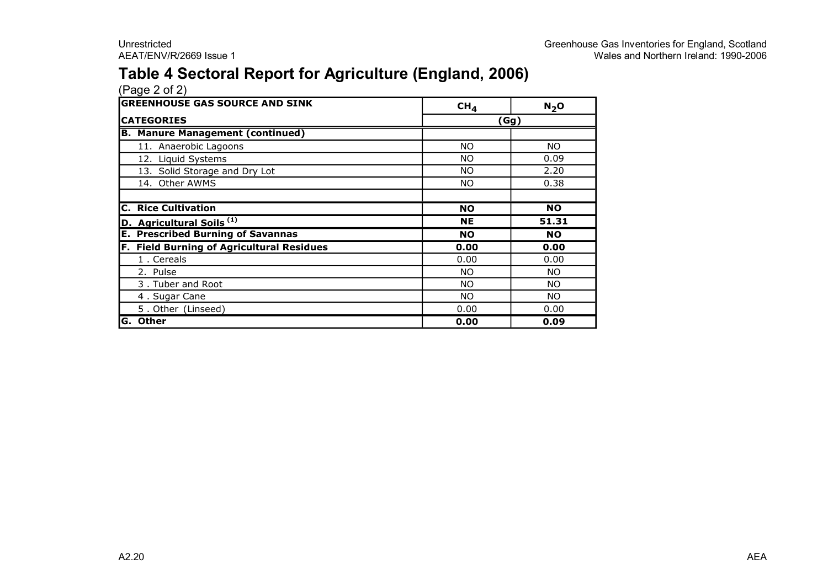### **Table 4 Sectoral Report for Agriculture (England, 2006)**

| <b>GREENHOUSE GAS SOURCE AND SINK</b>     | CH <sub>4</sub> | N <sub>2</sub> O |
|-------------------------------------------|-----------------|------------------|
| <b>CATEGORIES</b>                         |                 | (Gg)             |
| <b>B. Manure Management (continued)</b>   |                 |                  |
| 11. Anaerobic Lagoons                     | NO.             | NO.              |
| 12. Liquid Systems                        | <b>NO</b>       | 0.09             |
| 13. Solid Storage and Dry Lot             | <b>NO</b>       | 2.20             |
| 14. Other AWMS                            | <b>NO</b>       | 0.38             |
|                                           |                 |                  |
| <b>C. Rice Cultivation</b>                | <b>NO</b>       | <b>NO</b>        |
| D. Agricultural Soils <sup>(1)</sup>      | NE              | 51.31            |
| <b>E. Prescribed Burning of Savannas</b>  | <b>NO</b>       | <b>NO</b>        |
| F. Field Burning of Agricultural Residues | 0.00            | 0.00             |
| 1. Cereals                                | 0.00            | 0.00             |
| 2. Pulse                                  | <b>NO</b>       | NO.              |
| 3. Tuber and Root                         | NO.             | NO.              |
| 4. Sugar Cane                             | <b>NO</b>       | NO.              |
| 5. Other (Linseed)                        | 0.00            | 0.00             |
| G. Other                                  | 0.00            | 0.09             |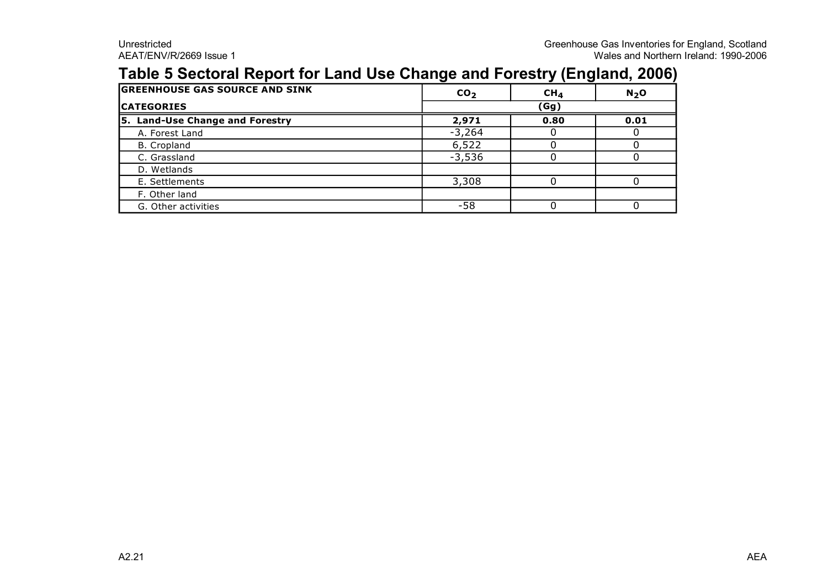### **Table 5 Sectoral Report for Land Use Change and Forestry (England, 2006)**

| <b>GREENHOUSE GAS SOURCE AND SINK</b> | CO <sub>2</sub> | CH <sub>4</sub> | $N_2$ O |  |
|---------------------------------------|-----------------|-----------------|---------|--|
| <b>ICATEGORIES</b>                    | (Gg)            |                 |         |  |
| 5. Land-Use Change and Forestry       | 2,971           | 0.80            | 0.01    |  |
| A. Forest Land                        | $-3,264$        |                 |         |  |
| B. Cropland                           | 6,522           |                 |         |  |
| C. Grassland                          | $-3,536$        |                 |         |  |
| D. Wetlands                           |                 |                 |         |  |
| E. Settlements                        | 3,308           |                 |         |  |
| F. Other land                         |                 |                 |         |  |
| G. Other activities                   | -58             |                 |         |  |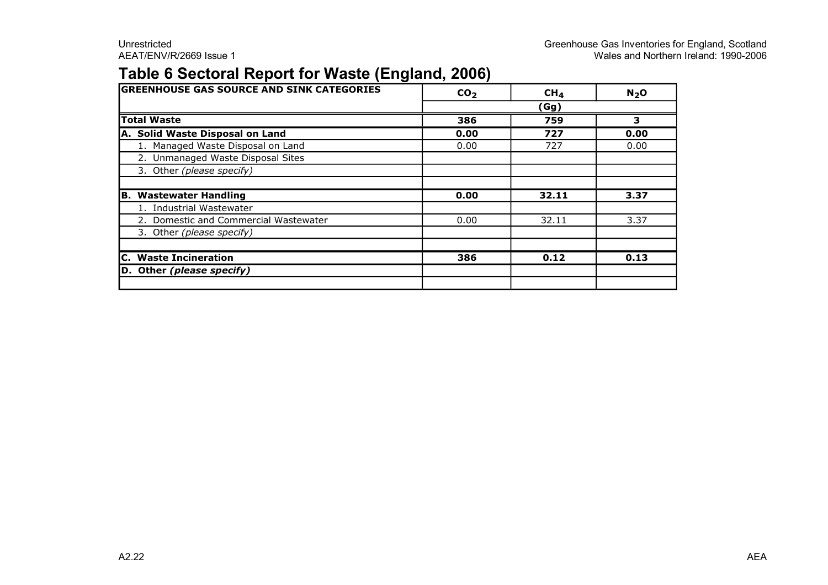### **Table 6 Sectoral Report for Waste (England, 2006)**

| <b>GREENHOUSE GAS SOURCE AND SINK CATEGORIES</b> | CO <sub>2</sub> | CH <sub>4</sub> | N <sub>2</sub> O |  |  |
|--------------------------------------------------|-----------------|-----------------|------------------|--|--|
|                                                  | (Gg)            |                 |                  |  |  |
| <b>Total Waste</b>                               | 386             | 759             | 3                |  |  |
| A. Solid Waste Disposal on Land                  | 0.00            | 727             | 0.00             |  |  |
| 1. Managed Waste Disposal on Land                | 0.00            | 727             | 0.00             |  |  |
| 2. Unmanaged Waste Disposal Sites                |                 |                 |                  |  |  |
| 3. Other (please specify)                        |                 |                 |                  |  |  |
|                                                  |                 |                 |                  |  |  |
| <b>Wastewater Handling</b><br>В.                 | 0.00            | 32.11           | 3.37             |  |  |
| 1. Industrial Wastewater                         |                 |                 |                  |  |  |
| 2. Domestic and Commercial Wastewater            | 0.00            | 32.11           | 3.37             |  |  |
| 3. Other (please specify)                        |                 |                 |                  |  |  |
|                                                  |                 |                 |                  |  |  |
| <b>C. Waste Incineration</b>                     | 386             | 0.12            | 0.13             |  |  |
| D. Other (please specify)                        |                 |                 |                  |  |  |
|                                                  |                 |                 |                  |  |  |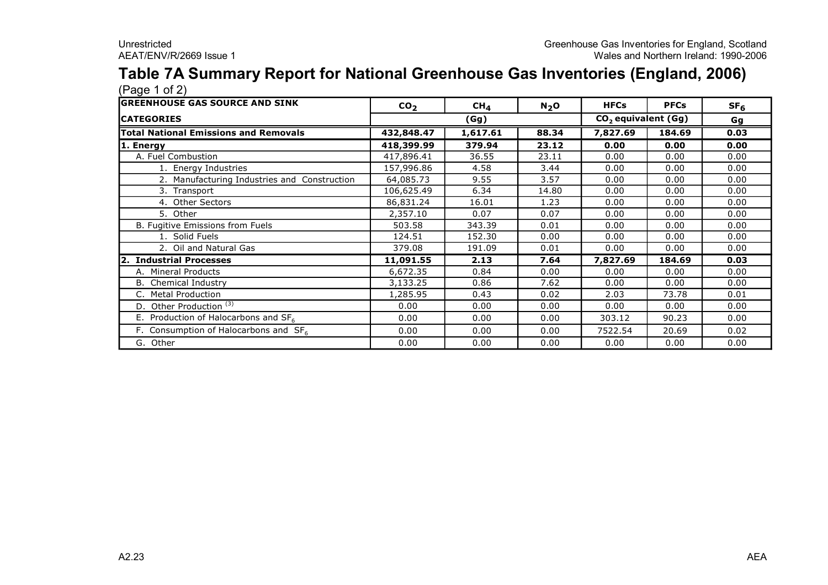#### **Table 7A Summary Report for National Greenhouse Gas Inventories (England, 2006)** (Page 1 of 2)

| (* ~ჟ~ * ~ * <del>~</del> /<br><b>GREENHOUSE GAS SOURCE AND SINK</b> | CO <sub>2</sub> | CH <sub>4</sub> | N <sub>2</sub> O | <b>HFCs</b>                     | <b>PFCs</b> | SF <sub>6</sub> |
|----------------------------------------------------------------------|-----------------|-----------------|------------------|---------------------------------|-------------|-----------------|
| <b>CATEGORIES</b>                                                    |                 | (Gg)            |                  | CO <sub>2</sub> equivalent (Gg) | Gg          |                 |
| <b>Total National Emissions and Removals</b>                         | 432,848.47      | 1,617.61        | 88.34            | 7,827.69                        | 184.69      | 0.03            |
| 1. Energy                                                            | 418,399.99      | 379.94          | 23.12            | 0.00                            | 0.00        | 0.00            |
| A. Fuel Combustion                                                   | 417,896.41      | 36.55           | 23.11            | 0.00                            | 0.00        | 0.00            |
| 1. Energy Industries                                                 | 157,996.86      | 4.58            | 3.44             | 0.00                            | 0.00        | 0.00            |
| 2. Manufacturing Industries and Construction                         | 64,085.73       | 9.55            | 3.57             | 0.00                            | 0.00        | 0.00            |
| 3. Transport                                                         | 106,625.49      | 6.34            | 14.80            | 0.00                            | 0.00        | 0.00            |
| 4. Other Sectors                                                     | 86,831.24       | 16.01           | 1.23             | 0.00                            | 0.00        | 0.00            |
| 5. Other                                                             | 2,357.10        | 0.07            | 0.07             | 0.00                            | 0.00        | 0.00            |
| B. Fugitive Emissions from Fuels                                     | 503.58          | 343.39          | 0.01             | 0.00                            | 0.00        | 0.00            |
| 1. Solid Fuels                                                       | 124.51          | 152.30          | 0.00             | 0.00                            | 0.00        | 0.00            |
| 2. Oil and Natural Gas                                               | 379.08          | 191.09          | 0.01             | 0.00                            | 0.00        | 0.00            |
| <b>Industrial Processes</b>                                          | 11,091.55       | 2.13            | 7.64             | 7,827.69                        | 184.69      | 0.03            |
| A. Mineral Products                                                  | 6,672.35        | 0.84            | 0.00             | 0.00                            | 0.00        | 0.00            |
| <b>B.</b> Chemical Industry                                          | 3,133.25        | 0.86            | 7.62             | 0.00                            | 0.00        | 0.00            |
| <b>Metal Production</b><br>C.                                        | 1,285.95        | 0.43            | 0.02             | 2.03                            | 73.78       | 0.01            |
| Other Production <sup>(3)</sup><br>D.                                | 0.00            | 0.00            | 0.00             | 0.00                            | 0.00        | 0.00            |
| E. Production of Halocarbons and SF <sub>6</sub>                     | 0.00            | 0.00            | 0.00             | 303.12                          | 90.23       | 0.00            |
| F. Consumption of Halocarbons and $SF6$                              | 0.00            | 0.00            | 0.00             | 7522.54                         | 20.69       | 0.02            |
| G. Other                                                             | 0.00            | 0.00            | 0.00             | 0.00                            | 0.00        | 0.00            |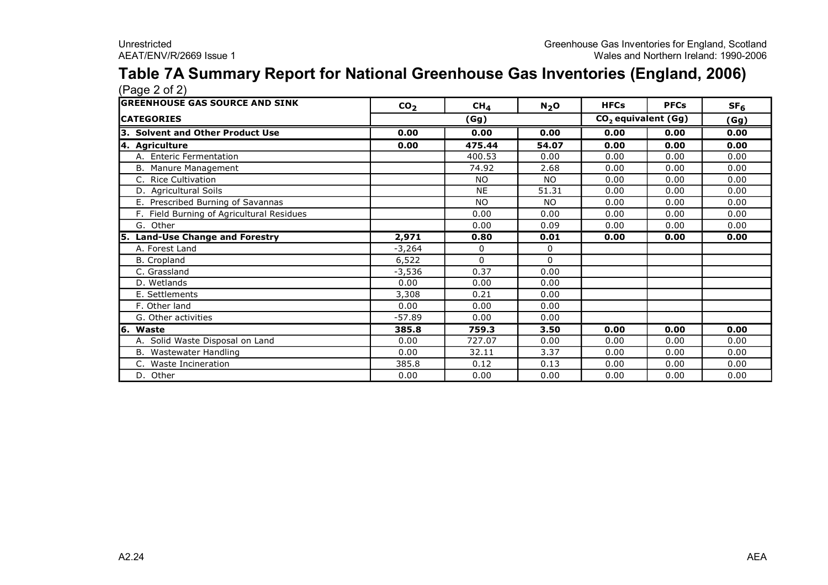#### **Table 7A Summary Report for National Greenhouse Gas Inventories (England, 2006)**  $(Pane 2 of 2)$

| $(1 \times 1)$                            |                 |                 |           |                                 |             |                 |
|-------------------------------------------|-----------------|-----------------|-----------|---------------------------------|-------------|-----------------|
| <b>IGREENHOUSE GAS SOURCE AND SINK</b>    | CO <sub>2</sub> | CH <sub>4</sub> | $N_2$ O   | <b>HFCs</b>                     | <b>PFCs</b> | SF <sub>6</sub> |
| <b>CATEGORIES</b>                         |                 | (Gg)            |           | CO <sub>2</sub> equivalent (Gg) | (Gg)        |                 |
| 3. Solvent and Other Product Use          | 0.00            | 0.00            | 0.00      | 0.00                            | 0.00        | 0.00            |
| 4. Agriculture                            | 0.00            | 475.44          | 54.07     | 0.00                            | 0.00        | 0.00            |
| A. Enteric Fermentation                   |                 | 400.53          | 0.00      | 0.00                            | 0.00        | 0.00            |
| B. Manure Management                      |                 | 74.92           | 2.68      | 0.00                            | 0.00        | 0.00            |
| <b>Rice Cultivation</b><br>C.             |                 | <b>NO</b>       | NO.       | 0.00                            | 0.00        | 0.00            |
| D. Agricultural Soils                     |                 | <b>NE</b>       | 51.31     | 0.00                            | 0.00        | 0.00            |
| E. Prescribed Burning of Savannas         |                 | <b>NO</b>       | <b>NO</b> | 0.00                            | 0.00        | 0.00            |
| F. Field Burning of Agricultural Residues |                 | 0.00            | 0.00      | 0.00                            | 0.00        | 0.00            |
| G. Other                                  |                 | 0.00            | 0.09      | 0.00                            | 0.00        | 0.00            |
| 5. Land-Use Change and Forestry           | 2,971           | 0.80            | 0.01      | 0.00                            | 0.00        | 0.00            |
| A. Forest Land                            | $-3,264$        | 0               | 0         |                                 |             |                 |
| <b>B.</b> Cropland                        | 6,522           | $\Omega$        | 0         |                                 |             |                 |
| C. Grassland                              | $-3,536$        | 0.37            | 0.00      |                                 |             |                 |
| D. Wetlands                               | 0.00            | 0.00            | 0.00      |                                 |             |                 |
| E. Settlements                            | 3,308           | 0.21            | 0.00      |                                 |             |                 |
| F. Other land                             | 0.00            | 0.00            | 0.00      |                                 |             |                 |
| G. Other activities                       | $-57.89$        | 0.00            | 0.00      |                                 |             |                 |
| 6. Waste                                  | 385.8           | 759.3           | 3.50      | 0.00                            | 0.00        | 0.00            |
| Solid Waste Disposal on Land              | 0.00            | 727.07          | 0.00      | 0.00                            | 0.00        | 0.00            |
| B. Wastewater Handling                    | 0.00            | 32.11           | 3.37      | 0.00                            | 0.00        | 0.00            |
| C. Waste Incineration                     | 385.8           | 0.12            | 0.13      | 0.00                            | 0.00        | 0.00            |
| D. Other                                  | 0.00            | 0.00            | 0.00      | 0.00                            | 0.00        | 0.00            |